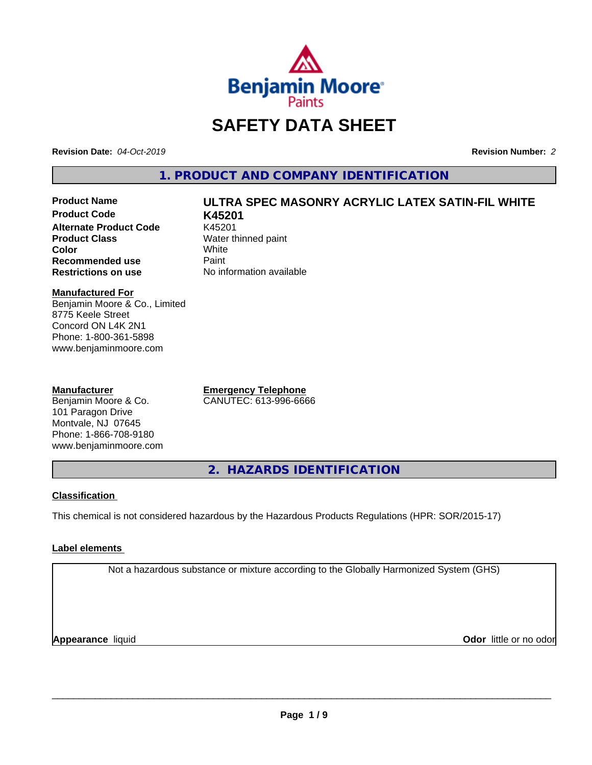

# **SAFETY DATA SHEET**

**Revision Date:** *04-Oct-2019* **Revision Number:** *2*

**1. PRODUCT AND COMPANY IDENTIFICATION**

**Product Code K45201 Alternate Product Code** K45201<br>**Product Class** Water th **Color** White White **Recommended use** Paint<br> **Restrictions on use** No inf

# **Product Name ULTRA SPEC MASONRY ACRYLIC LATEX SATIN-FIL WHITE**

**Water thinned paint**<br>White **No information available** 

#### **Manufactured For**

Benjamin Moore & Co., Limited 8775 Keele Street Concord ON L4K 2N1 Phone: 1-800-361-5898 www.benjaminmoore.com

#### **Manufacturer**

Benjamin Moore & Co. 101 Paragon Drive Montvale, NJ 07645 Phone: 1-866-708-9180 www.benjaminmoore.com **Emergency Telephone** CANUTEC: 613-996-6666

**2. HAZARDS IDENTIFICATION**

### **Classification**

This chemical is not considered hazardous by the Hazardous Products Regulations (HPR: SOR/2015-17)

### **Label elements**

Not a hazardous substance or mixture according to the Globally Harmonized System (GHS)

**Appearance** liquid **CODO** *Appearance liquid* **Odor** *CODO CODO* **<b>***CODO CODO CODO CODO CODO*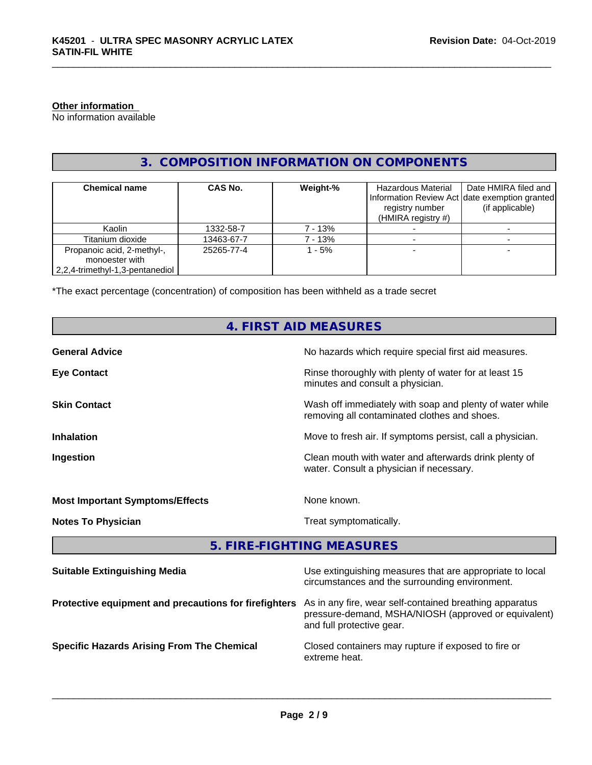### **Other information**

No information available

# **3. COMPOSITION INFORMATION ON COMPONENTS**

| <b>Chemical name</b>            | CAS No.    | Weight-% | Hazardous Material    | Date HMIRA filed and                          |
|---------------------------------|------------|----------|-----------------------|-----------------------------------------------|
|                                 |            |          |                       | Information Review Act date exemption granted |
|                                 |            |          | registry number       | (if applicable)                               |
|                                 |            |          | (HMIRA registry $#$ ) |                                               |
| Kaolin                          | 1332-58-7  | 7 - 13%  |                       |                                               |
| Titanium dioxide                | 13463-67-7 | 7 - 13%  |                       |                                               |
| Propanoic acid, 2-methyl-,      | 25265-77-4 | $-5%$    |                       |                                               |
| monoester with                  |            |          |                       |                                               |
| 2,2,4-trimethyl-1,3-pentanediol |            |          |                       |                                               |

\*The exact percentage (concentration) of composition has been withheld as a trade secret

| 4. FIRST AID MEASURES                                 |                                                                                                                                              |  |  |  |
|-------------------------------------------------------|----------------------------------------------------------------------------------------------------------------------------------------------|--|--|--|
| <b>General Advice</b>                                 | No hazards which require special first aid measures.                                                                                         |  |  |  |
| <b>Eye Contact</b>                                    | Rinse thoroughly with plenty of water for at least 15<br>minutes and consult a physician.                                                    |  |  |  |
| <b>Skin Contact</b>                                   | Wash off immediately with soap and plenty of water while<br>removing all contaminated clothes and shoes.                                     |  |  |  |
| <b>Inhalation</b>                                     | Move to fresh air. If symptoms persist, call a physician.                                                                                    |  |  |  |
| Ingestion                                             | Clean mouth with water and afterwards drink plenty of<br>water. Consult a physician if necessary.                                            |  |  |  |
| <b>Most Important Symptoms/Effects</b>                | None known.                                                                                                                                  |  |  |  |
| <b>Notes To Physician</b>                             | Treat symptomatically.                                                                                                                       |  |  |  |
|                                                       | 5. FIRE-FIGHTING MEASURES                                                                                                                    |  |  |  |
| <b>Suitable Extinguishing Media</b>                   | Use extinguishing measures that are appropriate to local<br>circumstances and the surrounding environment.                                   |  |  |  |
| Protective equipment and precautions for firefighters | As in any fire, wear self-contained breathing apparatus<br>pressure-demand, MSHA/NIOSH (approved or equivalent)<br>and full protective gear. |  |  |  |

**Specific Hazards Arising From The Chemical Closed containers may rupture if exposed to fire or** 

extreme heat.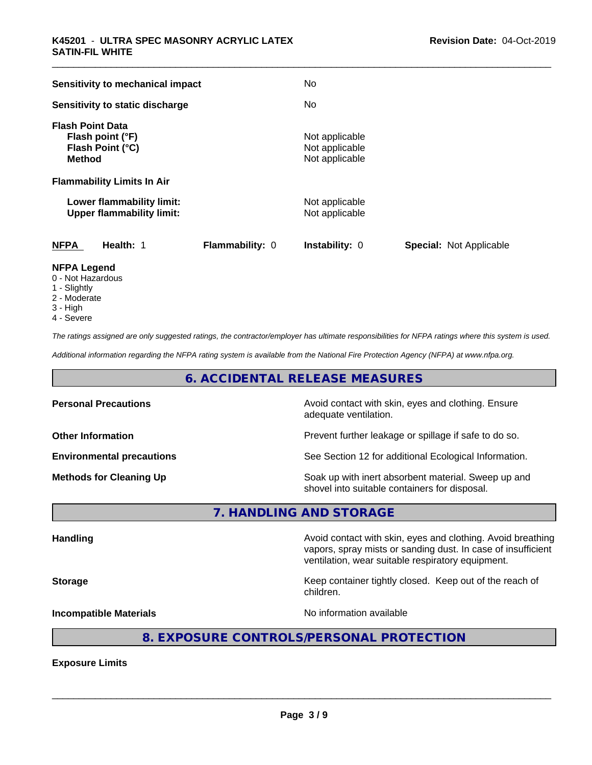| Sensitivity to mechanical impact                                                 | No                                                 |                                |
|----------------------------------------------------------------------------------|----------------------------------------------------|--------------------------------|
| Sensitivity to static discharge                                                  | No                                                 |                                |
| <b>Flash Point Data</b><br>Flash point (°F)<br>Flash Point (°C)<br><b>Method</b> | Not applicable<br>Not applicable<br>Not applicable |                                |
| <b>Flammability Limits In Air</b>                                                |                                                    |                                |
| Lower flammability limit:<br><b>Upper flammability limit:</b>                    | Not applicable<br>Not applicable                   |                                |
| <b>NFPA</b><br>Health: 1                                                         | Flammability: 0<br><b>Instability: 0</b>           | <b>Special: Not Applicable</b> |
| NFPA Legend                                                                      |                                                    |                                |

- **NFPA Legend** 0 - Not Hazardous
- 1 Slightly
- 2 Moderate
- 3 High
- 4 Severe

*The ratings assigned are only suggested ratings, the contractor/employer has ultimate responsibilities for NFPA ratings where this system is used.*

*Additional information regarding the NFPA rating system is available from the National Fire Protection Agency (NFPA) at www.nfpa.org.*

# **6. ACCIDENTAL RELEASE MEASURES**

| <b>Personal Precautions</b>      | Avoid contact with skin, eyes and clothing. Ensure<br>adequate ventilation.                          |  |
|----------------------------------|------------------------------------------------------------------------------------------------------|--|
| <b>Other Information</b>         | Prevent further leakage or spillage if safe to do so.                                                |  |
| <b>Environmental precautions</b> | See Section 12 for additional Ecological Information.                                                |  |
| <b>Methods for Cleaning Up</b>   | Soak up with inert absorbent material. Sweep up and<br>shovel into suitable containers for disposal. |  |

**7. HANDLING AND STORAGE**

Handling **Handling Avoid contact with skin, eyes and clothing. Avoid breathing Handling** vapors, spray mists or sanding dust. In case of insufficient ventilation, wear suitable respiratory equipment. **Storage Keep container tightly closed. Keep out of the reach of the reach of the reach of the reach of the reach of the reach of the reach of the reach of the reach of the reach of the reach of the reach of the reach of** children. **Incompatible Materials Incompatible Materials No information available** 

# **8. EXPOSURE CONTROLS/PERSONAL PROTECTION**

**Exposure Limits**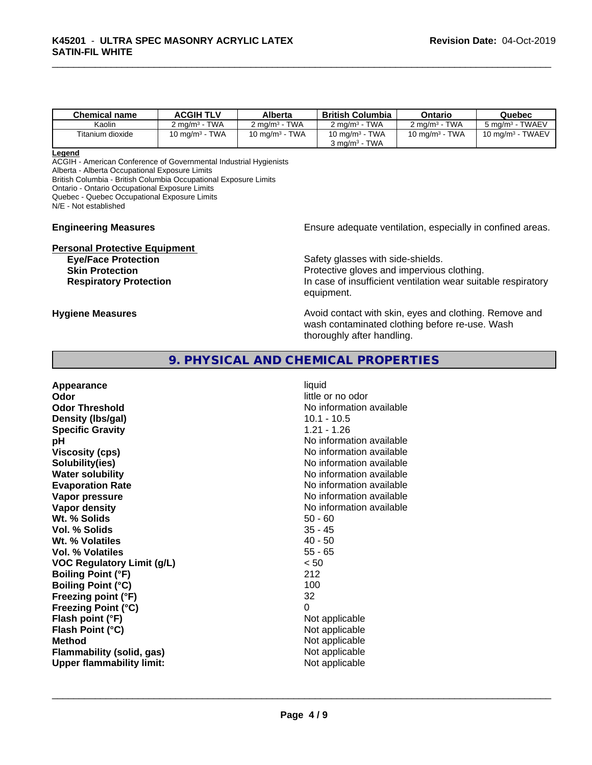| <b>Chemical name</b> | <b>ACGIH TLV</b>                         | Alberta                          | <b>British Columbia</b>                  | Ontario                             | Quebec                                 |
|----------------------|------------------------------------------|----------------------------------|------------------------------------------|-------------------------------------|----------------------------------------|
| Kaolin               | <b>TWA</b><br>$\angle$ ma/m <sup>3</sup> | <b>TWA</b><br>$2 \text{ ma/m}^3$ | <b>TWA</b><br>$2 \text{ ma/m}^3$ $^{-1}$ | <b>TWA</b><br>2 mg/m <sup>3</sup> - | $5 \text{ ma/m}^3$ - TWAEV             |
| Titanium dioxide     | <b>TWA</b><br>10 ma/mª -                 | <b>TWA</b><br>10 ma/m $^{\rm 3}$ | <b>TWA</b><br>10 mg/m <sup>3</sup> -     | 10 mg/m $3$ - TWA                   | <b>TWAEV</b><br>10 ma/m <sup>3</sup> - |
|                      |                                          |                                  | <b>TWA</b><br>$3 \text{ ma/m}^3$         |                                     |                                        |

#### **Legend**

ACGIH - American Conference of Governmental Industrial Hygienists

Alberta - Alberta Occupational Exposure Limits

British Columbia - British Columbia Occupational Exposure Limits

Ontario - Ontario Occupational Exposure Limits

Quebec - Quebec Occupational Exposure Limits

N/E - Not established

**Personal Protective Equipment**

**Engineering Measures Ensure adequate ventilation, especially in confined areas.** 

**Eye/Face Protection** Safety glasses with side-shields. **Skin Protection Protection Protective gloves and impervious clothing. Respiratory Protection In case of insufficient ventilation wear suitable respiratory** equipment.

**Hygiene Measures Avoid contact with skin, eyes and clothing. Remove and Hygiene Measures** and clothing. Remove and wash contaminated clothing before re-use. Wash thoroughly after handling.

## **9. PHYSICAL AND CHEMICAL PROPERTIES**

**Appearance** liquid **Odor** little or no odor **Odor Threshold No information available** No information available **Density (Ibs/gal)** 10.1 - 10.5<br> **Specific Gravity** 1.21 - 1.26 **Specific Gravity pH pH**  $\blacksquare$ **Viscosity (cps)** No information available **Solubility(ies)** No information available **Water solubility** No information available **Evaporation Rate No information available No information available Vapor pressure** No information available **No** information available **Vapor density**  $\blacksquare$  No information available **Wt. % Solids** 50 - 60 **Vol. % Solids Wt. % Volatiles** 40 - 50 **Vol. % Volatiles** 55 - 65 **VOC Regulatory Limit (g/L)** < 50 **Boiling Point (°F)** 212 **Boiling Point (°C)** 100 **Freezing point (°F)** 32 **Freezing Point (°C)** 0 **Flash point (°F)** Not applicable **Flash Point (°C)**  $\qquad \qquad$  Not applicable **Method**<br> **Flammability (solid, gas)**<br> **Commability (solid, gas)**<br>
Mot applicable **Flammability** (solid, gas) **Upper flammability limit:** Not applicable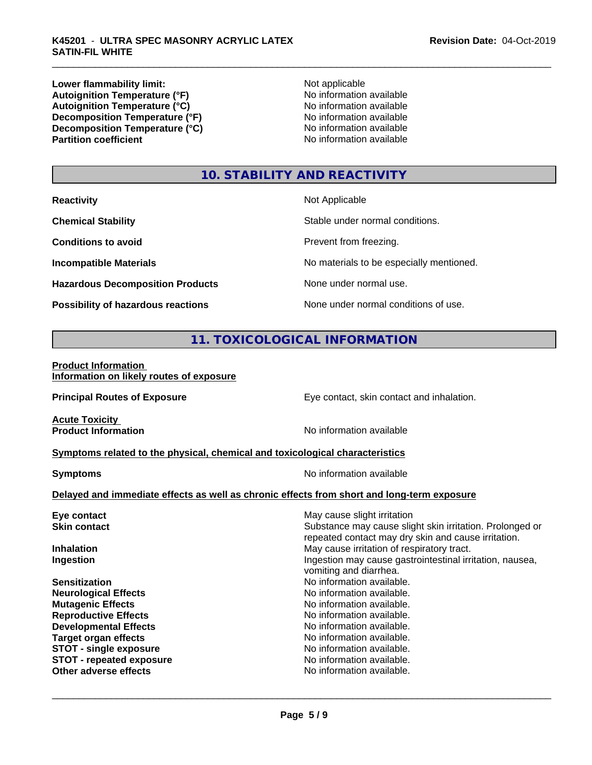**Lower flammability limit:**<br> **Autoignition Temperature (°F)** Not applicable havailable available **Autoignition Temperature (°F)**  $\qquad \qquad$  No information available<br> **Autoignition Temperature (°C)** No information available **Autoignition Temperature (°C)**<br> **Decomposition Temperature (°F)** No information available **Decomposition Temperature (°F) Decomposition Temperature (°C)** No information available<br> **Partition coefficient Partition available** 

**No information available** 

# **10. STABILITY AND REACTIVITY**

| <b>Reactivity</b>                         | Not Applicable                           |
|-------------------------------------------|------------------------------------------|
| <b>Chemical Stability</b>                 | Stable under normal conditions.          |
| <b>Conditions to avoid</b>                | Prevent from freezing.                   |
| <b>Incompatible Materials</b>             | No materials to be especially mentioned. |
| <b>Hazardous Decomposition Products</b>   | None under normal use.                   |
| <b>Possibility of hazardous reactions</b> | None under normal conditions of use.     |

# **11. TOXICOLOGICAL INFORMATION**

#### **Product Information Information on likely routes of exposure**

**Principal Routes of Exposure Exposure** Eye contact, skin contact and inhalation. **Acute Toxicity**<br>**Product Information No information available Symptoms related to the physical,chemical and toxicological characteristics Symptoms** No information available **Delayed and immediate effects as well as chronic effects from short and long-term exposure Eye contact Exercise Solution** May cause slight irritation **Skin contact** Substance may cause slight skin irritation. Prolonged or repeated contact may dry skin and cause irritation. **Inhalation** May cause irritation of respiratory tract. **Ingestion Ingestion Index is a linear in the line of the line of the line of the line of the line of the line of the line of the line of the line of the line of the line of the line of the line of the line of the line** vomiting and diarrhea. **Sensitization No information available.** No information available. **Neurological Effects** Noinformation available. **Mutagenic Effects No information available. Reproductive Effects No information available.** No information available. **Developmental Effects**<br> **Target organ effects**<br> **Target organ effects**<br> **No information available.** No information available.<br>No information available. **STOT** - single exposure<br> **STOT** - repeated exposure<br> **STOT** - repeated exposure **STOT** - repeated exposure **Other adverse effects** Noinformation available.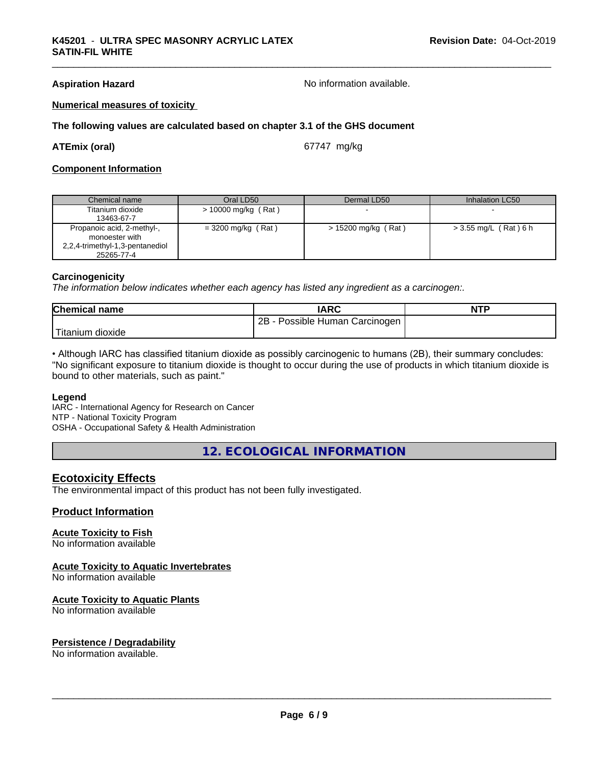**Aspiration Hazard No information available.** No information available.

#### **Numerical measures of toxicity**

#### **The following values are calculated based on chapter 3.1 of the GHS document**

#### **ATEmix (oral)** 67747 mg/kg

#### **Component Information**

| Chemical name                                                                                 | Oral LD50            | Dermal LD50           | Inhalation LC50         |
|-----------------------------------------------------------------------------------------------|----------------------|-----------------------|-------------------------|
| Titanium dioxide<br>13463-67-7                                                                | > 10000 mg/kg (Rat)  |                       |                         |
| Propanoic acid, 2-methyl-,<br>monoester with<br>2,2,4-trimethyl-1,3-pentanediol<br>25265-77-4 | $=$ 3200 mg/kg (Rat) | $> 15200$ mg/kg (Rat) | $>$ 3.55 mg/L (Rat) 6 h |

#### **Carcinogenicity**

*The information below indicateswhether each agency has listed any ingredient as a carcinogen:.*

| <b>Chemical name</b>                           | <b>IARC</b>                       | <b>NTP</b> |
|------------------------------------------------|-----------------------------------|------------|
|                                                | 2B<br>Possible Human Carcinogen I |            |
| . . <del>. .</del> .<br>, dioxide<br>l itanıum |                                   |            |

• Although IARC has classified titanium dioxide as possibly carcinogenic to humans (2B), their summary concludes: "No significant exposure to titanium dioxide is thought to occur during the use of products in which titanium dioxide is bound to other materials, such as paint."

#### **Legend**

IARC - International Agency for Research on Cancer NTP - National Toxicity Program OSHA - Occupational Safety & Health Administration

**12. ECOLOGICAL INFORMATION**

#### **Ecotoxicity Effects**

The environmental impact of this product has not been fully investigated.

### **Product Information**

#### **Acute Toxicity to Fish**

No information available

#### **Acute Toxicity to Aquatic Invertebrates**

No information available

#### **Acute Toxicity to Aquatic Plants**

No information available

#### **Persistence / Degradability**

No information available.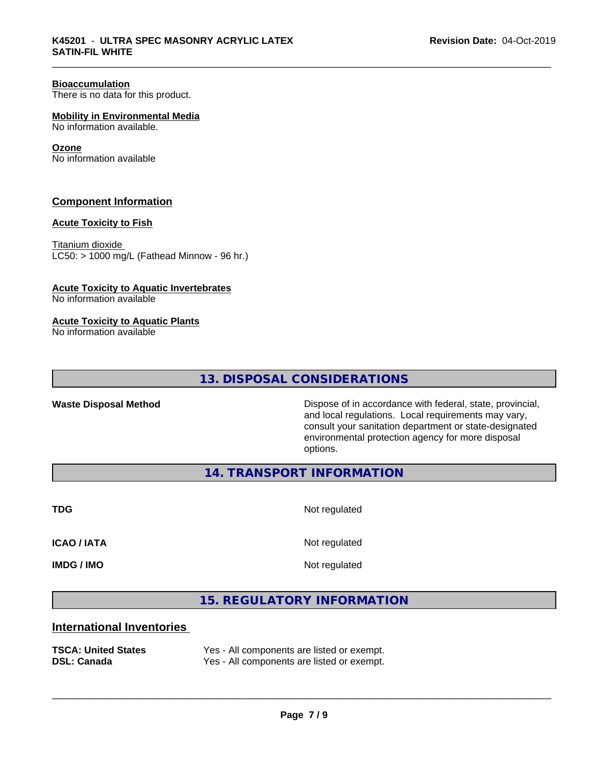#### **Bioaccumulation**

There is no data for this product.

**Mobility in Environmental Media**

No information available.

#### **Ozone**

No information available

### **Component Information**

#### **Acute Toxicity to Fish**

Titanium dioxide  $LC50:$  > 1000 mg/L (Fathead Minnow - 96 hr.)

#### **Acute Toxicity to Aquatic Invertebrates**

No information available

#### **Acute Toxicity to Aquatic Plants**

No information available

**13. DISPOSAL CONSIDERATIONS**

**Waste Disposal Method** Dispose of in accordance with federal, state, provincial, and local regulations. Local requirements may vary, consult your sanitation department or state-designated environmental protection agency for more disposal options.

**14. TRANSPORT INFORMATION**

**TDG** Not regulated

**ICAO / IATA** Not regulated

**IMDG / IMO** Not regulated

 $\overline{\phantom{a}}$  ,  $\overline{\phantom{a}}$  ,  $\overline{\phantom{a}}$  ,  $\overline{\phantom{a}}$  ,  $\overline{\phantom{a}}$  ,  $\overline{\phantom{a}}$  ,  $\overline{\phantom{a}}$  ,  $\overline{\phantom{a}}$  ,  $\overline{\phantom{a}}$  ,  $\overline{\phantom{a}}$  ,  $\overline{\phantom{a}}$  ,  $\overline{\phantom{a}}$  ,  $\overline{\phantom{a}}$  ,  $\overline{\phantom{a}}$  ,  $\overline{\phantom{a}}$  ,  $\overline{\phantom{a}}$ 

## **15. REGULATORY INFORMATION**

# **International Inventories**

| <b>TSCA: United States</b> | Yes - All components are listed or exempt. |
|----------------------------|--------------------------------------------|
| <b>DSL: Canada</b>         | Yes - All components are listed or exempt. |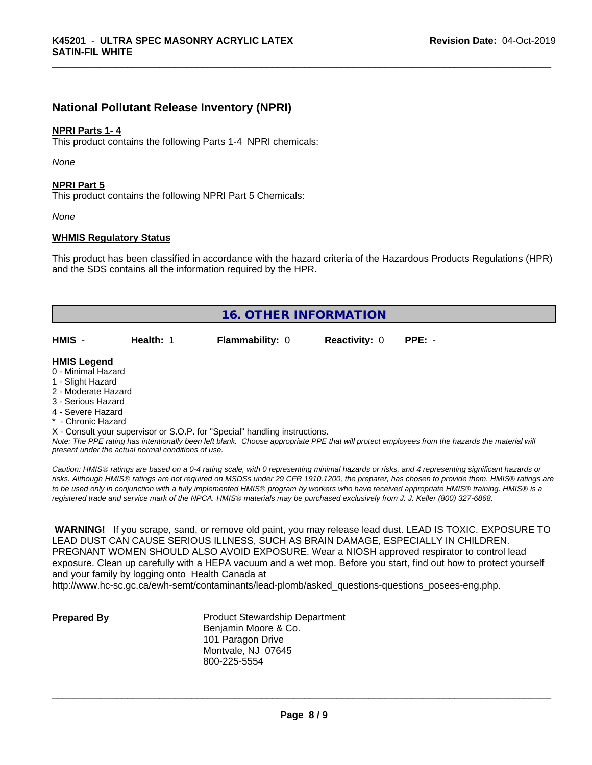# **National Pollutant Release Inventory (NPRI)**

#### **NPRI Parts 1- 4**

This product contains the following Parts 1-4 NPRI chemicals:

*None*

#### **NPRI Part 5**

This product contains the following NPRI Part 5 Chemicals:

*None*

#### **WHMIS Regulatory Status**

This product has been classified in accordance with the hazard criteria of the Hazardous Products Regulations (HPR) and the SDS contains all the information required by the HPR.

| <b>16. OTHER INFORMATION</b> |           |                                                                            |                      |          |  |
|------------------------------|-----------|----------------------------------------------------------------------------|----------------------|----------|--|
| HMIS -                       | Health: 1 | <b>Flammability: 0</b>                                                     | <b>Reactivity: 0</b> | $PPE: -$ |  |
| <b>HMIS Legend</b>           |           |                                                                            |                      |          |  |
| 0 - Minimal Hazard           |           |                                                                            |                      |          |  |
| 1 - Slight Hazard            |           |                                                                            |                      |          |  |
| 2 - Moderate Hazard          |           |                                                                            |                      |          |  |
| 3 - Serious Hazard           |           |                                                                            |                      |          |  |
| 4 - Severe Hazard            |           |                                                                            |                      |          |  |
| * - Chronic Hazard           |           |                                                                            |                      |          |  |
|                              |           | X - Consult your supervisor or S.O.P. for "Special" handling instructions. |                      |          |  |

*Note: The PPE rating has intentionally been left blank. Choose appropriate PPE that will protect employees from the hazards the material will present under the actual normal conditions of use.*

*Caution: HMISÒ ratings are based on a 0-4 rating scale, with 0 representing minimal hazards or risks, and 4 representing significant hazards or risks. Although HMISÒ ratings are not required on MSDSs under 29 CFR 1910.1200, the preparer, has chosen to provide them. HMISÒ ratings are to be used only in conjunction with a fully implemented HMISÒ program by workers who have received appropriate HMISÒ training. HMISÒ is a registered trade and service mark of the NPCA. HMISÒ materials may be purchased exclusively from J. J. Keller (800) 327-6868.*

 **WARNING!** If you scrape, sand, or remove old paint, you may release lead dust. LEAD IS TOXIC. EXPOSURE TO LEAD DUST CAN CAUSE SERIOUS ILLNESS, SUCH AS BRAIN DAMAGE, ESPECIALLY IN CHILDREN. PREGNANT WOMEN SHOULD ALSO AVOID EXPOSURE.Wear a NIOSH approved respirator to control lead exposure. Clean up carefully with a HEPA vacuum and a wet mop. Before you start, find out how to protect yourself and your family by logging onto Health Canada at

http://www.hc-sc.gc.ca/ewh-semt/contaminants/lead-plomb/asked\_questions-questions\_posees-eng.php.

**Prepared By** Product Stewardship Department Benjamin Moore & Co. 101 Paragon Drive Montvale, NJ 07645 800-225-5554